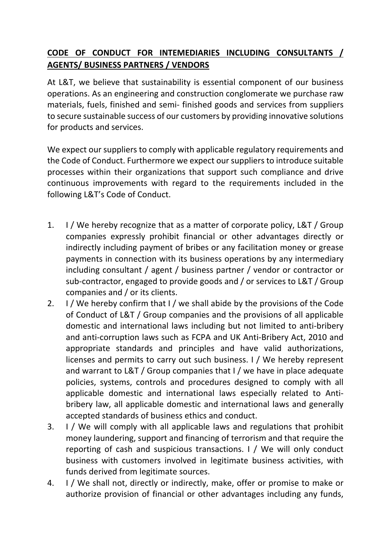## **CODE OF CONDUCT FOR INTEMEDIARIES INCLUDING CONSULTANTS / AGENTS/ BUSINESS PARTNERS / VENDORS**

At L&T, we believe that sustainability is essential component of our business operations. As an engineering and construction conglomerate we purchase raw materials, fuels, finished and semi‐ finished goods and services from suppliers to secure sustainable success of our customers by providing innovative solutions for products and services.

We expect our suppliers to comply with applicable regulatory requirements and the Code of Conduct. Furthermore we expect oursuppliers to introduce suitable processes within their organizations that support such compliance and drive continuous improvements with regard to the requirements included in the following L&T's Code of Conduct.

- 1. I / We hereby recognize that as a matter of corporate policy, L&T / Group companies expressly prohibit financial or other advantages directly or indirectly including payment of bribes or any facilitation money or grease payments in connection with its business operations by any intermediary including consultant / agent / business partner / vendor or contractor or sub-contractor, engaged to provide goods and / or services to L&T / Group companies and / or its clients.
- 2. I / We hereby confirm that I / we shall abide by the provisions of the Code of Conduct of L&T / Group companies and the provisions of all applicable domestic and international laws including but not limited to anti‐bribery and anti‐corruption laws such as FCPA and UK Anti‐Bribery Act, 2010 and appropriate standards and principles and have valid authorizations, licenses and permits to carry out such business. I / We hereby represent and warrant to L&T / Group companies that I / we have in place adequate policies, systems, controls and procedures designed to comply with all applicable domestic and international laws especially related to Anti‐ bribery law, all applicable domestic and international laws and generally accepted standards of business ethics and conduct.
- 3. I / We will comply with all applicable laws and regulations that prohibit money laundering, support and financing of terrorism and that require the reporting of cash and suspicious transactions. I / We will only conduct business with customers involved in legitimate business activities, with funds derived from legitimate sources.
- 4. I / We shall not, directly or indirectly, make, offer or promise to make or authorize provision of financial or other advantages including any funds,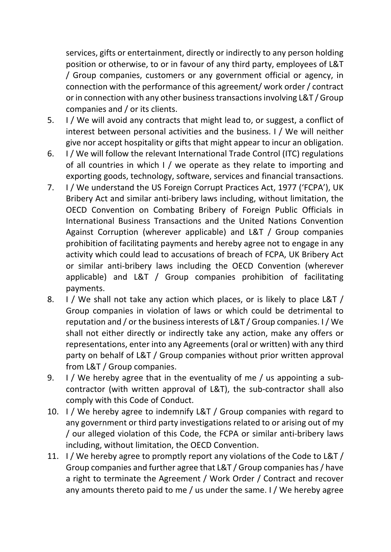services, gifts or entertainment, directly or indirectly to any person holding position or otherwise, to or in favour of any third party, employees of L&T / Group companies, customers or any government official or agency, in connection with the performance of this agreement/ work order / contract or in connection with any other businesstransactionsinvolving L&T / Group companies and / or its clients.

- 5. I / We will avoid any contracts that might lead to, or suggest, a conflict of interest between personal activities and the business. I / We will neither give nor accept hospitality or gifts that might appear to incur an obligation.
- 6. I / We will follow the relevant International Trade Control (ITC) regulations of all countries in which I / we operate as they relate to importing and exporting goods, technology, software, services and financial transactions.
- 7. I / We understand the US Foreign Corrupt Practices Act, 1977 ('FCPA'), UK Bribery Act and similar anti‐bribery laws including, without limitation, the OECD Convention on Combating Bribery of Foreign Public Officials in International Business Transactions and the United Nations Convention Against Corruption (wherever applicable) and L&T / Group companies prohibition of facilitating payments and hereby agree not to engage in any activity which could lead to accusations of breach of FCPA, UK Bribery Act or similar anti‐bribery laws including the OECD Convention (wherever applicable) and L&T / Group companies prohibition of facilitating payments.
- 8. I / We shall not take any action which places, or is likely to place L&T / Group companies in violation of laws or which could be detrimental to reputation and / or the businessinterests of L&T / Group companies. I / We shall not either directly or indirectly take any action, make any offers or representations, enter into any Agreements (oral or written) with any third party on behalf of L&T / Group companies without prior written approval from L&T / Group companies.
- 9. I / We hereby agree that in the eventuality of me / us appointing a subcontractor (with written approval of L&T), the sub‐contractor shall also comply with this Code of Conduct.
- 10. I / We hereby agree to indemnify L&T / Group companies with regard to any government or third party investigations related to or arising out of my / our alleged violation of this Code, the FCPA or similar anti‐bribery laws including, without limitation, the OECD Convention.
- 11. I / We hereby agree to promptly report any violations of the Code to L&T / Group companies and further agree that L&T / Group companies has/ have a right to terminate the Agreement / Work Order / Contract and recover any amounts thereto paid to me / us under the same. I / We hereby agree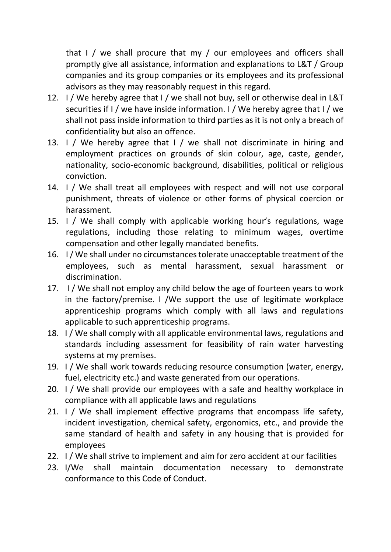that I / we shall procure that my / our employees and officers shall promptly give all assistance, information and explanations to L&T / Group companies and its group companies or its employees and its professional advisors as they may reasonably request in this regard.

- 12. I / We hereby agree that I / we shall not buy, sell or otherwise deal in L&T securities if I / we have inside information. I / We hereby agree that I / we shall not pass inside information to third parties as it is not only a breach of confidentiality but also an offence.
- 13. I / We hereby agree that I / we shall not discriminate in hiring and employment practices on grounds of skin colour, age, caste, gender, nationality, socio‐economic background, disabilities, political or religious conviction.
- 14. I / We shall treat all employees with respect and will not use corporal punishment, threats of violence or other forms of physical coercion or harassment.
- 15. I / We shall comply with applicable working hour's regulations, wage regulations, including those relating to minimum wages, overtime compensation and other legally mandated benefits.
- 16. I/ We shall under no circumstancestolerate unacceptable treatment of the employees, such as mental harassment, sexual harassment or discrimination.
- 17. I / We shall not employ any child below the age of fourteen years to work in the factory/premise. I /We support the use of legitimate workplace apprenticeship programs which comply with all laws and regulations applicable to such apprenticeship programs.
- 18. I / We shall comply with all applicable environmental laws, regulations and standards including assessment for feasibility of rain water harvesting systems at my premises.
- 19. I / We shall work towards reducing resource consumption (water, energy, fuel, electricity etc.) and waste generated from our operations.
- 20. I / We shall provide our employees with a safe and healthy workplace in compliance with all applicable laws and regulations
- 21. I / We shall implement effective programs that encompass life safety, incident investigation, chemical safety, ergonomics, etc., and provide the same standard of health and safety in any housing that is provided for employees
- 22. I / We shall strive to implement and aim for zero accident at our facilities
- 23. I/We shall maintain documentation necessary to demonstrate conformance to this Code of Conduct.